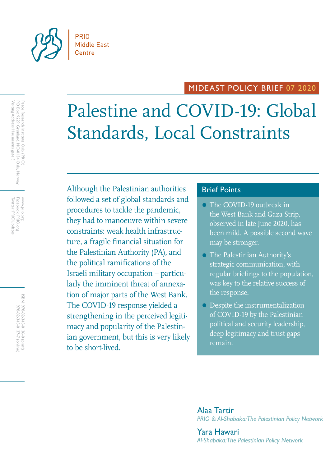

## MIDEAST POLICY BRIEF 0712020

# Palestine and COVID-19: Global Standards, Local Constraints

Although the Palestinian authorities **Brief Points** followed a set of global standards and procedures to tackle the pandemic, they had to manoeuvre within severe constraints: weak health infrastructure, a fragile financial situation for the Palestinian Authority (PA), and the political ramifications of the Israeli military occupation – particularly the imminent threat of annexation of major parts of the West Bank. The COVID-19 response yielded a strengthening in the perceived legitimacy and popularity of the Palestinian government, but this is very likely to be short-lived.

- The COVID-19 outbreak in the West Bank and Gaza Strip, observed in late June 2020, has been mild. A possible second wave may be stronger.
- The Palestinian Authority's strategic communication, with regular briefings to the population, was key to the relative success of the response.
- Despite the instrumentalization of COVID-19 by the Palestinian political and security leadership, deep legitimacy and trust gaps remain.

Alaa Tartir *PRIO & Al-Shabaka: The Palestinian Policy Network*

Yara Hawari *Al-Shabaka: The Palestinian Policy Network*

Peace Research Institute Oslo (PRIO)<br>PO Box 9229 Grønland, NO-0134 Oslo, Norway<br>Visiting Address: Hausmanns gate 3 Visiting Address: Hausmanns gate 3 PO Box 9229 Grønland, NO-0134 Oslo, Norway Peace Research Institute Oslo (PRIO)

Twitter: PRIOUpdates Facebook: PRIO.org Twitter: PRIOUpdates Facebook: PRIO.org www.prio.org www.prio.org

> ISBN: 978-82-343-0136-0 (print) 978-82-343-0137-7 (online 978-82-343-0137-7 (online) 978-82-343-0136-0 (print)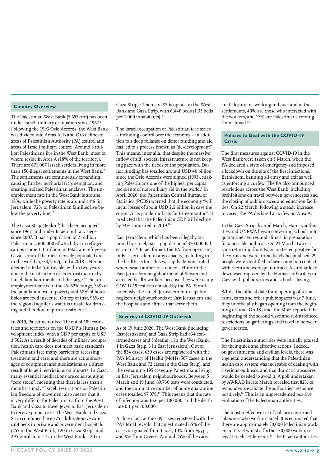#### **Country Overview**

The Palestinian West Bank (5,655km<sup>2</sup>) has been under Israeli military occupation since 1967.<sup>1</sup> Following the 1993 Oslo Accords, the West Bank was divided into Areas A, B and C to delineate areas of Palestinian Authority (PA) control and areas of Israeli military control. Around 3 million Palestinians live in the West Bank, most of whom reside in Area A (18% of the territory). There are 671,007 Israeli settlers living in more than 150 illegal settlements in the West Bank.<sup>2</sup> The settlements are continuously expanding, causing further territorial fragmentation, and creating isolated Palestinian enclaves. The unemployment rate in the West Bank is around 18%, while the poverty rate is around 14% (in Jerusalem, 72% of Palestinian families live below the poverty line).<sup>3</sup>

The Gaza Strip (365km<sup>2</sup>) has been occupied since 1967, and under Israeli military siege since 2007. It has a population of 2 million Palestinians, 600,000 of which live in refugee camps (some 1.3 million, in total, are refugees). Gaza is one of the most densely populated areas in the world (5,533/km2), and a 2018 UN report deemed it to be 'unliveable' within two years due to the destruction of its infrastructure by Israeli bombardments and the siege.<sup>4</sup> The unemployment rate is in the 45–52% range, 53% of the population live in poverty and 68% of households are food insecure. On top of that, 95% of the regional aquifer's water is unsafe for drinking and therefore requires treatment.<sup>5</sup>

In 2019, Palestine ranked 119 out of 189 countries and territories on the UNDP's Human Development Index, with a GDP per capita of USD 3,562. As a result of decades of military occupation, health care does not meet basic standards. Palestinians face many barriers to accessing treatment and care, and there are acute shortages of equipment and medications as a direct result of Israeli restrictions on imports. In Gaza, many essential medications are consistently at "zero stock", meaning that there is less than a month's supply.6 Israeli restrictions on Palestinian freedom of movement also means that it is very difficult for Palestinians from the West Bank and Gaza to travel (even to East Jerusalem) to receive proper care. The West Bank and Gaza Strip combined have 375 adult intensive care unit beds in private and government hospitals (255 in the West Bank, 120 in Gaza Strip), and 295 ventilators (175 in the West Bank, 120 in

Gaza Strip).7 There are 82 hospitals in the West Bank and Gaza Strip, with 6,440 beds (1.33 beds per 1,000 inhabitants).<sup>8</sup>

The Israeli occupation of Palestinian territories – including control over the economy – in addition to a deep reliance on donor funding and aid has led to a process known as "de-development". This means, inter alia, that despite the massive inflow of aid, societal infrastructure is not keeping pace with the needs of the population. Donor funding has totalled around USD 40 billion since the Oslo Accords were signed (1993), making Palestinians one of the highest per capita recipients of non-military aid in the world.<sup>9</sup> In April 2020, the Palestinian Central Bureau of Statistics (PCBS) warned that the economy "will incur losses of about USD 2.5 billion in case the coronavirus pandemic lasts for three months". It predicted that the Palestinian GDP will decline by 14% compared to 2019.10

East Jerusalem, which has been illegally annexed by Israel, has a population of 370,000 Palestinians.11 Israel forbids the PA from operating in East Jerusalem in any capacity, including in the health sector. This was aptly demonstrated when Israeli authorities raided a clinic in the East Jerusalem neighbourhood of Silwan and arrested health workers because they were using COVID-19 test kits donated by the PA. Simultaneously, the Israeli Jerusalem municipality neglects neighbourhoods of East Jerusalem and the hospitals and clinics that serve them.

#### **Severity of COVID-19 Outbreak**

As of 19 June 2020, The West Bank (including East Jerusalem) and Gaza Strip had 834 confirmed cases and 5 deaths (1 in the West Bank, 1 in Gaza Strip, 3 in East Jerusalem). Out of the 834 cases, 639 cases are registered with the PA's Ministry of Health (MoH) (567 cases in the West Bank and 72 cases in the Gaza Strip), and the remaining 195 cases are Palestinians living in East Jerusalem neighbourhoods. Between 5 March and 19 June, 69,730 tests were conducted, and the cumulative number of home quarantine cases totalled 97,078.12 This means that the rate of infection was 16.6 per 100,000, and the death rate 0.1 per 100,000.

A closer look at the 639 cases registered with the PA's MoH reveals that an estimated 65% of the cases originated from Israel, 10% from Egypt, and 9% from Greece. Around 25% of the cases

are Palestinians working in Israel and in the settlements, 40% are those who interacted with the workers, and 15% are Palestinians coming from abroad.<sup>13</sup>

#### **Policies to Deal with the COVID-19 Crisis**

The first measures against COVID-19 in the West Bank were taken on 5 March, when the PA declared a state of emergency and imposed a lockdown on the site of the first infections, Bethlehem, banning all entry and exit as well as enforcing a curfew. The PA also announced restrictions across the West Bank, including prohibitions on travel between governorates and the closing of public spaces and education facilities. On 22 March, following a steady increase in cases, the PA declared a curfew on Area A.

In the Gaza Strip, by mid-March, Hamas authorities and UNRWA began converting schools into quarantine centres and clinics, in preparation for a possible outbreak. On 21 March, two Gazans returning from Pakistan tested positive for the virus and were immediately hospitalised. 29 people were identified to have come into contact with them and were quarantined. A similar lockdown was imposed by the Hamas authorities in Gaza with public spaces and schools closing.

Whilst the official date for reopening of restaurants, cafes and other public spaces was 7 June, they unofficially began opening from the beginning of June. On 18 June, the MoH reported the beginning of the second wave and re-introduced restrictions on gatherings and travel in between governorates.

The Palestinian authorities were initially praised for their quick and effective actions. Indeed, on governmental and civilian levels, there was a general understanding that the Palestinian health care system was incapable of dealing with a serious outbreak, and that dramatic measures would be needed to avoid it. A poll undertaken by AWRAD in late March revealed that 82% of respondents evaluate the authorities' response positively.14 This is an unprecedented positive evaluation of the Palestinian authorities.

The most ineffective set of policies concerned labourers who work in Israel. It is estimated that there are approximately 70,000 Palestinian workers in Israel whilst a further 30,000 work in illegal Israeli settlements.15 The Israeli authorities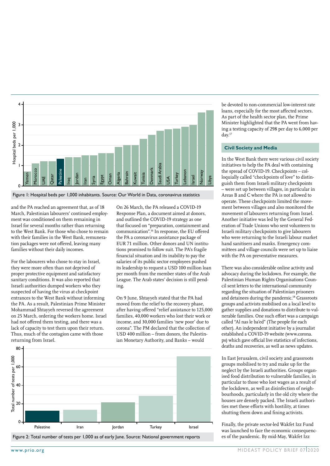

Figure 1: Hospital beds per 1,000 inhabitants. Source: Our World in Data, coronavirus statistics

and the PA reached an agreement that, as of 18 March, Palestinian labourers' continued employment was conditioned on them remaining in Israel for several months rather than returning to the West Bank. For those who chose to remain with their families in the West Bank, remuneration packages were not offered, leaving many families without their daily incomes.

For the labourers who chose to stay in Israel, they were more often than not deprived of proper protective equipment and satisfactory sanitary conditions. It was also reported that Israeli authorities dumped workers who they suspected of having the virus at checkpoint entrances to the West Bank without informing the PA. As a result, Palestinian Prime Minister Mohammad Shtayyeh reversed the agreement on 25 March, ordering the workers home. Israel had not offered them testing, and there was a lack of capacity to test them upon their return. Thus, much of the contagion came with those returning from Israel.

On 26 March, the PA released a COVID-19 Response Plan, a document aimed at donors, and outlined the COVID-19 strategy as one that focused on "preparation, containment and communication".16 In response, the EU offered the PA a coronavirus assistance package of EUR 71 million. Other donors and UN institutions promised to follow suit. The PA's fragile financial situation and its inability to pay the salaries of its public sector employees pushed its leadership to request a USD 100 million loan per month from the member states of the Arab League. The Arab states' decision is still pending.

On 9 June, Shtayyeh stated that the PA had moved from the relief to the recovery phase, after having offered "relief assistance to 125,000 families, 40,000 workers who lost their work or income, and 30,000 families 'new poor' due to corona". The PM declared that the collection of USD 400 million – from donors, the Palestinian Monetary Authority, and Banks – would



be devoted to non-commercial low-interest rate loans, especially for the most affected sectors. As part of the health sector plan, the Prime Minister highlighted that the PA went from having a testing capacity of 298 per day to 6,000 per day.17

#### **Civil Society and Media**

In the West Bank there were various civil society initiatives to help the PA deal with containing the spread of COVID-19. Checkpoints – colloquially called "checkpoints of love" to distinguish them from Israeli military checkpoints – were set up between villages, in particular in Areas B and C where the PA is not allowed to operate. These checkpoints limited the movement between villages and also monitored the movement of labourers returning from Israel. Another initiative was led by the General Federation of Trade Unions who sent volunteers to Israeli military checkpoints to give labourers who were returning to the Israeli labour market hand sanitisers and masks. Emergency committees and village councils were set up to liaise with the PA on preventative measures.

There was also considerable online activity and advocacy during the lockdown. For example, the Palestinian Human Rights Organisations Council sent letters to the international community regarding the situation of Palestinian prisoners and detainees during the pandemic.<sup>18</sup> Grassroots groups and activists mobilised on a local level to gather supplies and donations to distribute to vulnerable families. One such effort was a campaign called "Al nas le ba'ed" (The people for each other). An independent initiative by a journalist established a COVID-19 website (www.corona. ps) which gave official live statistics of infections, deaths and recoveries, as well as news updates.

In East Jerusalem, civil society and grassroots groups mobilised to try and make up for the neglect by the Israeli authorities. Groups organised food distribution to vulnerable families, in particular to those who lost wages as a result of the lockdown, as well as disinfection of neighbourhoods, particularly in the old city where the houses are densely packed. The Israeli authorities met these efforts with hostility, at times shutting them down and fining activists.

Finally, the private sector-led Wakfet Izz Fund was launched to face the economic consequences of the pandemic. By mid-May, Wakfet Izz